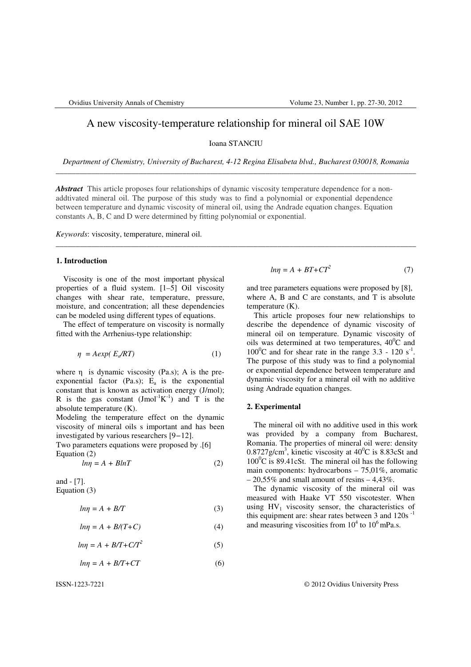# A new viscosity-temperature relationship for mineral oil SAE 10W

Ioana STANCIU

*Department of Chemistry, University of Bucharest, 4-12 Regina Elisabeta blvd., Bucharest 030018, Romania*  \_\_\_\_\_\_\_\_\_\_\_\_\_\_\_\_\_\_\_\_\_\_\_\_\_\_\_\_\_\_\_\_\_\_\_\_\_\_\_\_\_\_\_\_\_\_\_\_\_\_\_\_\_\_\_\_\_\_\_\_\_\_\_\_\_\_\_\_\_\_\_\_\_\_\_\_\_\_\_\_\_\_\_\_\_\_\_\_\_\_\_

\_\_\_\_\_\_\_\_\_\_\_\_\_\_\_\_\_\_\_\_\_\_\_\_\_\_\_\_\_\_\_\_\_\_\_\_\_\_\_\_\_\_\_\_\_\_\_\_\_\_\_\_\_\_\_\_\_\_\_\_\_\_\_\_\_\_\_\_\_\_\_\_\_\_\_\_\_\_\_\_\_\_\_\_\_\_\_\_\_\_\_

*Abstract* This article proposes four relationships of dynamic viscosity temperature dependence for a nonaddtivated mineral oil. The purpose of this study was to find a polynomial or exponential dependence between temperature and dynamic viscosity of mineral oil, using the Andrade equation changes. Equation constants A, B, C and D were determined by fitting polynomial or exponential.

*Keywords*: viscosity, temperature, mineral oil.

#### **1. Introduction**

Viscosity is one of the most important physical properties of a fluid system. [1–5] Oil viscosity changes with shear rate, temperature, pressure, moisture, and concentration; all these dependencies can be modeled using different types of equations.

The effect of temperature on viscosity is normally fitted with the Arrhenius-type relationship:

$$
\eta = A \exp(\, E_a / RT) \tag{1}
$$

where  $\eta$  is dynamic viscosity (Pa.s); A is the preexponential factor (Pa.s);  $E_a$  is the exponential constant that is known as activation energy (J/mol); R is the gas constant  $(Jmol^{-1}K^{-1})$  and T is the absolute temperature (K).

Modeling the temperature effect on the dynamic viscosity of mineral oils s important and has been investigated by various researchers [9*−*12].

Two parameters equations were proposed by .[6] Equation (2)

$$
ln \eta = A + BlnT \tag{2}
$$

and - [7]. Equation (3)

$$
ln \eta = A + B/T \tag{3}
$$

$$
ln \eta = A + B/(T+C) \tag{4}
$$

$$
ln \eta = A + B/T + C/T^2 \tag{5}
$$

$$
ln \eta = A + B/T + CT \tag{6}
$$

$$
ln \eta = A + BT + CT^2 \tag{7}
$$

and tree parameters equations were proposed by [8], where A, B and C are constants, and T is absolute temperature (K).

This article proposes four new relationships to describe the dependence of dynamic viscosity of mineral oil on temperature. Dynamic viscosity of oils was determined at two temperatures,  $40^{\circ}$ C and  $100^{\circ}$ C and for shear rate in the range 3.3 - 120 s<sup>-1</sup>. The purpose of this study was to find a polynomial or exponential dependence between temperature and dynamic viscosity for a mineral oil with no additive using Andrade equation changes.

#### **2. Experimental**

The mineral oil with no additive used in this work was provided by a company from Bucharest, Romania. The properties of mineral oil were: density 0.8727g/cm<sup>3</sup>, kinetic viscosity at  $40^{\circ}$ C is 8.83cSt and  $100^{\circ}$ C is 89.41cSt. The mineral oil has the following main components: hydrocarbons – 75,01%, aromatic  $-20,55\%$  and small amount of resins  $-4,43\%$ .

The dynamic viscosity of the mineral oil was measured with Haake VT 550 viscotester. When using  $HV_1$  viscosity sensor, the characteristics of this equipment are: shear rates between 3 and  $120s^{-1}$ and measuring viscosities from  $10^4$  to  $10^6$  mPa.s.

ISSN-1223-7221 © 2012 Ovidius University Press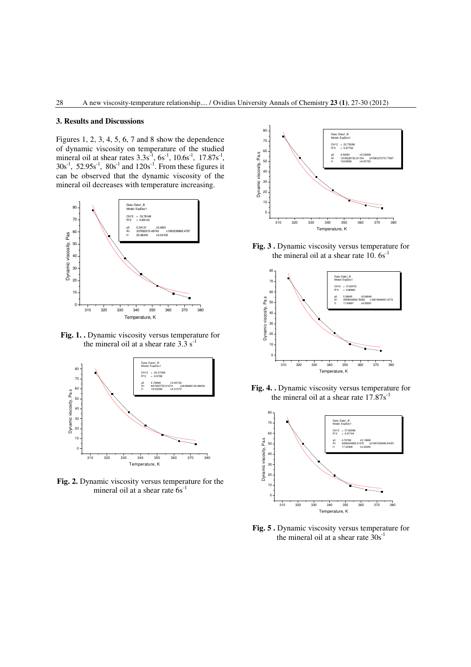#### **3. Results and Discussions**

Figures 1, 2, 3, 4, 5, 6, 7 and 8 show the dependence of dynamic viscosity on temperature of the studied mineral oil at shear rates  $3.3s^{-1}$ ,  $6s^{-1}$ ,  $10.6s^{-1}$ ,  $17.87s^{-1}$ ,  $30s^{-1}$ ,  $52.95s^{-1}$ ,  $80s^{-1}$  and  $120s^{-1}$ . From these figures it can be observed that the dynamic viscosity of the mineral oil decreases with temperature increasing.



**Fig. 1. .** Dynamic viscosity versus temperature for the mineral oil at a shear rate  $3.3 \text{ s}^{-1}$ 



**Fig. 2.** Dynamic viscosity versus temperature for the mineral oil at a shear rate  $6s^{-1}$ 



**Fig. 3 .** Dynamic viscosity versus temperature for the mineral oil at a shear rate  $10.6s^{-1}$ 



**Fig. 4. .** Dynamic viscosity versus temperature for the mineral oil at a shear rate  $17.87s^{-1}$ 



**Fig. 5 .** Dynamic viscosity versus temperature for the mineral oil at a shear rate  $30s^{-1}$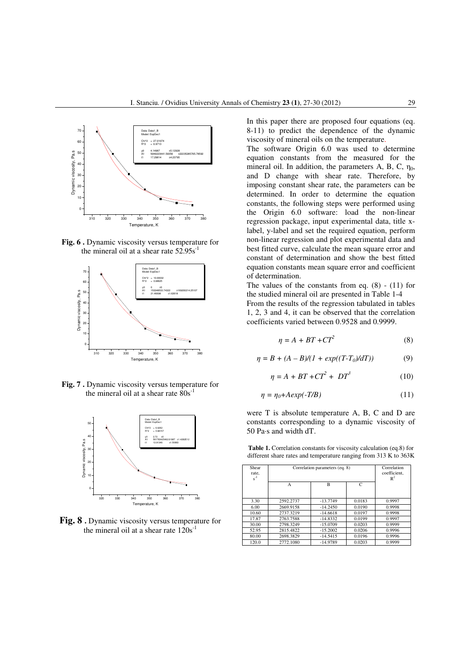

**Fig. 6 .** Dynamic viscosity versus temperature for the mineral oil at a shear rate  $52.95s^{-1}$ 



**Fig. 7 .** Dynamic viscosity versus temperature for the mineral oil at a shear rate  $80s^{-1}$ 



**Fig. 8 .** Dynamic viscosity versus temperature for the mineral oil at a shear rate  $120s^{-1}$ 

In this paper there are proposed four equations (eq. 8-11) to predict the dependence of the dynamic viscosity of mineral oils on the temperature.

The software Origin 6.0 was used to determine equation constants from the measured for the mineral oil. In addition, the parameters A, B, C,  $\eta_0$ , and D change with shear rate. Therefore, by imposing constant shear rate, the parameters can be determined. In order to determine the equation constants, the following steps were performed using the Origin 6.0 software: load the non-linear regression package, input experimental data, title xlabel, y-label and set the required equation, perform non-linear regression and plot experimental data and best fitted curve, calculate the mean square error and constant of determination and show the best fitted equation constants mean square error and coefficient of determination.

The values of the constants from eq. (8) - (11) for the studied mineral oil are presented in Table 1-4

From the results of the regression tabulated in tables 1, 2, 3 and 4, it can be observed that the correlation coefficients varied between 0.9528 and 0.9999.

$$
\eta = A + BT + CT^2 \tag{8}
$$

$$
\eta = B + (A - B)/(1 + exp((T - T_0)/dT))
$$
 (9)

$$
\eta = A + BT + CT^2 + DT^3 \tag{10}
$$

$$
\eta = \eta_0 + A \exp(-T/B) \tag{11}
$$

were T is absolute temperature A, B, C and D are constants corresponding to a dynamic viscosity of 50 Pa·s and width dT.

**Table 1.** Correlation constants for viscosity calculation (eq.8) for different share rates and temperature ranging from 313 K to 363K

| Shear<br>rate.<br>$s^{-1}$ | Correlation parameters (eq. 8) | Correlation<br>coefficient.<br>$\mathbb{R}^2$ |        |        |
|----------------------------|--------------------------------|-----------------------------------------------|--------|--------|
|                            | А                              | B                                             | C      |        |
| 3.30                       | 2592.2737                      | $-13.7749$                                    | 0.0183 | 0.9997 |
| 6.00                       | 2669.9158                      | $-14.2450$                                    | 0.0190 | 0.9998 |
| 10.60                      | 2737.3219                      | $-14.6618$                                    | 0.0197 | 0.9998 |
| 17.87                      | 2763.7588                      | $-14.8332$                                    | 0.0199 | 0.9997 |
| 30.00                      | 2798.3249                      | $-15.0709$                                    | 0.0203 | 0.9999 |
| 52.95                      | 2815.4822                      | $-15.2002$                                    | 0.0206 | 0.9996 |
| 80.00                      | 2698.3829                      | $-14.5415$                                    | 0.0196 | 0.9996 |
| 120.0                      | 2772.1080                      | $-14.9789$                                    | 0.0203 | 0.9999 |